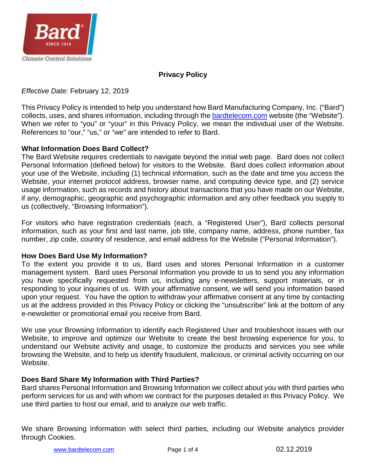

## **Privacy Policy**

## *Effective Date:* February 12, 2019

This Privacy Policy is intended to help you understand how Bard Manufacturing Company, Inc. ("Bard") collects, uses, and shares information, including through the [bardtelecom.com](https://bardmegatec.com/) website (the "Website"). When we refer to "you" or "your" in this Privacy Policy, we mean the individual user of the Website. References to "our," "us," or "we" are intended to refer to Bard.

## **What Information Does Bard Collect?**

The Bard Website requires credentials to navigate beyond the initial web page. Bard does not collect Personal Information (defined below) for visitors to the Website. Bard does collect information about your use of the Website, including (1) technical information, such as the date and time you access the Website, your internet protocol address, browser name, and computing device type, and (2) service usage information, such as records and history about transactions that you have made on our Website, if any, demographic, geographic and psychographic information and any other feedback you supply to us (collectively, "Browsing Information").

For visitors who have registration credentials (each, a "Registered User"), Bard collects personal information, such as your first and last name, job title, company name, address, phone number, fax number, zip code, country of residence, and email address for the Website ("Personal Information").

## **How Does Bard Use My Information?**

To the extent you provide it to us, Bard uses and stores Personal Information in a customer management system. Bard uses Personal Information you provide to us to send you any information you have specifically requested from us, including any e-newsletters, support materials, or in responding to your inquiries of us. With your affirmative consent, we will send you information based upon your request. You have the option to withdraw your affirmative consent at any time by contacting us at the address provided in this Privacy Policy or clicking the "unsubscribe" link at the bottom of any e-newsletter or promotional email you receive from Bard.

We use your Browsing Information to identify each Registered User and troubleshoot issues with our Website, to improve and optimize our Website to create the best browsing experience for you, to understand our Website activity and usage, to customize the products and services you see while browsing the Website, and to help us identify fraudulent, malicious, or criminal activity occurring on our Website.

## **Does Bard Share My Information with Third Parties?**

Bard shares Personal Information and Browsing Information we collect about you with third parties who perform services for us and with whom we contract for the purposes detailed in this Privacy Policy. We use third parties to host our email, and to analyze our web traffic.

We share Browsing Information with select third parties, including our Website analytics provider through Cookies.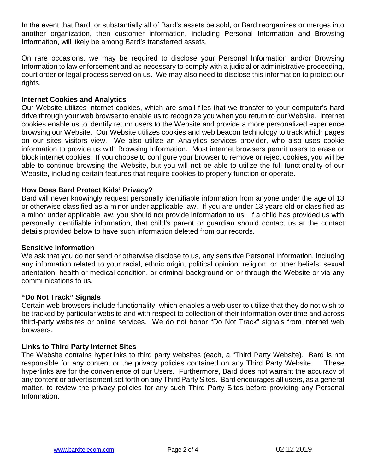In the event that Bard, or substantially all of Bard's assets be sold, or Bard reorganizes or merges into another organization, then customer information, including Personal Information and Browsing Information, will likely be among Bard's transferred assets.

On rare occasions, we may be required to disclose your Personal Information and/or Browsing Information to law enforcement and as necessary to comply with a judicial or administrative proceeding, court order or legal process served on us. We may also need to disclose this information to protect our rights.

### **Internet Cookies and Analytics**

Our Website utilizes internet cookies, which are small files that we transfer to your computer's hard drive through your web browser to enable us to recognize you when you return to our Website. Internet cookies enable us to identify return users to the Website and provide a more personalized experience browsing our Website. Our Website utilizes cookies and web beacon technology to track which pages on our sites visitors view. We also utilize an Analytics services provider, who also uses cookie information to provide us with Browsing Information. Most internet browsers permit users to erase or block internet cookies. If you choose to configure your browser to remove or reject cookies, you will be able to continue browsing the Website, but you will not be able to utilize the full functionality of our Website, including certain features that require cookies to properly function or operate.

### **How Does Bard Protect Kids' Privacy?**

Bard will never knowingly request personally identifiable information from anyone under the age of 13 or otherwise classified as a minor under applicable law. If you are under 13 years old or classified as a minor under applicable law, you should not provide information to us. If a child has provided us with personally identifiable information, that child's parent or guardian should contact us at the contact details provided below to have such information deleted from our records.

#### **Sensitive Information**

We ask that you do not send or otherwise disclose to us, any sensitive Personal Information, including any information related to your racial, ethnic origin, political opinion, religion, or other beliefs, sexual orientation, health or medical condition, or criminal background on or through the Website or via any communications to us.

#### **"Do Not Track" Signals**

Certain web browsers include functionality, which enables a web user to utilize that they do not wish to be tracked by particular website and with respect to collection of their information over time and across third-party websites or online services. We do not honor "Do Not Track" signals from internet web browsers.

#### **Links to Third Party Internet Sites**

The Website contains hyperlinks to third party websites (each, a "Third Party Website). Bard is not responsible for any content or the privacy policies contained on any Third Party Website. These hyperlinks are for the convenience of our Users. Furthermore, Bard does not warrant the accuracy of any content or advertisement set forth on any Third Party Sites. Bard encourages all users, as a general matter, to review the privacy policies for any such Third Party Sites before providing any Personal Information.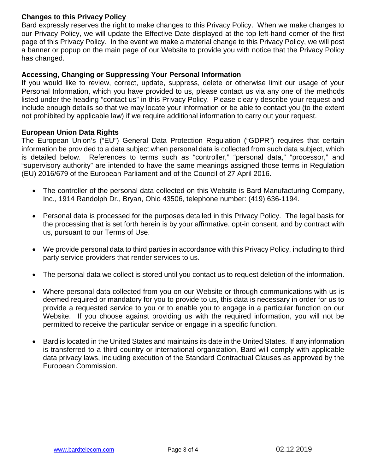## **Changes to this Privacy Policy**

Bard expressly reserves the right to make changes to this Privacy Policy. When we make changes to our Privacy Policy, we will update the Effective Date displayed at the top left-hand corner of the first page of this Privacy Policy. In the event we make a material change to this Privacy Policy, we will post a banner or popup on the main page of our Website to provide you with notice that the Privacy Policy has changed.

### **Accessing, Changing or Suppressing Your Personal Information**

If you would like to review, correct, update, suppress, delete or otherwise limit our usage of your Personal Information, which you have provided to us, please contact us via any one of the methods listed under the heading "contact us" in this Privacy Policy. Please clearly describe your request and include enough details so that we may locate your information or be able to contact you (to the extent not prohibited by applicable law) if we require additional information to carry out your request.

### **European Union Data Rights**

The European Union's ("EU") General Data Protection Regulation ("GDPR") requires that certain information be provided to a data subject when personal data is collected from such data subject, which is detailed below. References to terms such as "controller," "personal data," "processor," and "supervisory authority" are intended to have the same meanings assigned those terms in Regulation (EU) 2016/679 of the European Parliament and of the Council of 27 April 2016.

- The controller of the personal data collected on this Website is Bard Manufacturing Company, Inc., 1914 Randolph Dr., Bryan, Ohio 43506, telephone number: (419) 636-1194.
- Personal data is processed for the purposes detailed in this Privacy Policy. The legal basis for the processing that is set forth herein is by your affirmative, opt-in consent, and by contract with us, pursuant to our Terms of Use.
- We provide personal data to third parties in accordance with this Privacy Policy, including to third party service providers that render services to us.
- The personal data we collect is stored until you contact us to request deletion of the information.
- Where personal data collected from you on our Website or through communications with us is deemed required or mandatory for you to provide to us, this data is necessary in order for us to provide a requested service to you or to enable you to engage in a particular function on our Website. If you choose against providing us with the required information, you will not be permitted to receive the particular service or engage in a specific function.
- Bard is located in the United States and maintains its date in the United States. If any information is transferred to a third country or international organization, Bard will comply with applicable data privacy laws, including execution of the Standard Contractual Clauses as approved by the European Commission.